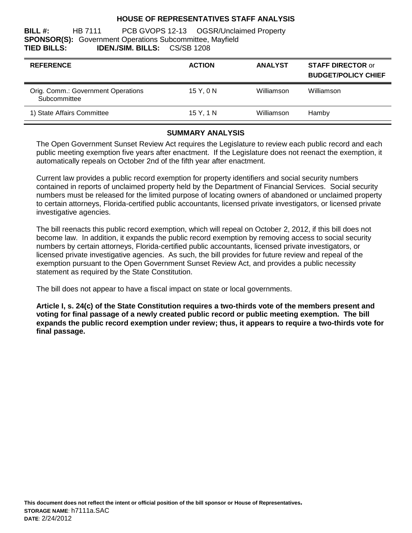### **HOUSE OF REPRESENTATIVES STAFF ANALYSIS**

**BILL #:** HB 7111 PCB GVOPS 12-13 OGSR/Unclaimed Property **SPONSOR(S):** Government Operations Subcommittee, Mayfield **TIED BILLS: IDEN./SIM. BILLS:** CS/SB 1208

| <b>REFERENCE</b>                                   | <b>ACTION</b> | <b>ANALYST</b> | <b>STAFF DIRECTOR or</b><br><b>BUDGET/POLICY CHIEF</b> |
|----------------------------------------------------|---------------|----------------|--------------------------------------------------------|
| Orig. Comm.: Government Operations<br>Subcommittee | 15Y.0N        | Williamson     | Williamson                                             |
| 1) State Affairs Committee                         | 15 Y, 1 N     | Williamson     | Hamby                                                  |

## **SUMMARY ANALYSIS**

The Open Government Sunset Review Act requires the Legislature to review each public record and each public meeting exemption five years after enactment. If the Legislature does not reenact the exemption, it automatically repeals on October 2nd of the fifth year after enactment.

Current law provides a public record exemption for property identifiers and social security numbers contained in reports of unclaimed property held by the Department of Financial Services. Social security numbers must be released for the limited purpose of locating owners of abandoned or unclaimed property to certain attorneys, Florida-certified public accountants, licensed private investigators, or licensed private investigative agencies.

The bill reenacts this public record exemption, which will repeal on October 2, 2012, if this bill does not become law. In addition, it expands the public record exemption by removing access to social security numbers by certain attorneys, Florida-certified public accountants, licensed private investigators, or licensed private investigative agencies. As such, the bill provides for future review and repeal of the exemption pursuant to the Open Government Sunset Review Act, and provides a public necessity statement as required by the State Constitution.

The bill does not appear to have a fiscal impact on state or local governments.

**Article I, s. 24(c) of the State Constitution requires a two-thirds vote of the members present and voting for final passage of a newly created public record or public meeting exemption. The bill expands the public record exemption under review; thus, it appears to require a two-thirds vote for final passage.**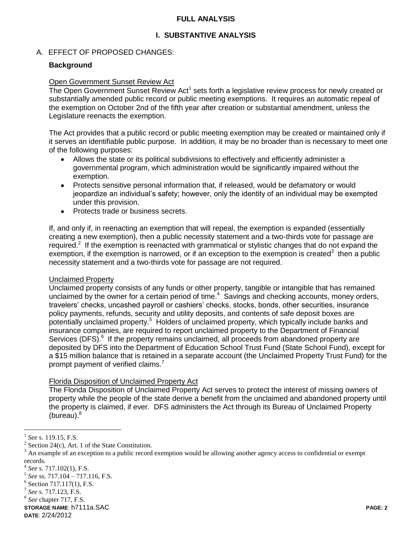### **FULL ANALYSIS**

## **I. SUBSTANTIVE ANALYSIS**

### A. EFFECT OF PROPOSED CHANGES:

#### **Background**

#### Open Government Sunset Review Act

The Open Government Sunset Review Act<sup>1</sup> sets forth a legislative review process for newly created or substantially amended public record or public meeting exemptions. It requires an automatic repeal of the exemption on October 2nd of the fifth year after creation or substantial amendment, unless the Legislature reenacts the exemption.

The Act provides that a public record or public meeting exemption may be created or maintained only if it serves an identifiable public purpose. In addition, it may be no broader than is necessary to meet one of the following purposes:

- Allows the state or its political subdivisions to effectively and efficiently administer a governmental program, which administration would be significantly impaired without the exemption.
- Protects sensitive personal information that, if released, would be defamatory or would jeopardize an individual's safety; however, only the identity of an individual may be exempted under this provision.
- Protects trade or business secrets.  $\bullet$

If, and only if, in reenacting an exemption that will repeal, the exemption is expanded (essentially creating a new exemption), then a public necessity statement and a two-thirds vote for passage are required.<sup>2</sup> If the exemption is reenacted with grammatical or stylistic changes that do not expand the exemption, if the exemption is narrowed, or if an exception to the exemption is created<sup>3</sup> then a public necessity statement and a two-thirds vote for passage are not required.

#### Unclaimed Property

Unclaimed property consists of any funds or other property, tangible or intangible that has remained unclaimed by the owner for a certain period of time. $4$  Savings and checking accounts, money orders, travelers' checks, uncashed payroll or cashiers' checks, stocks, bonds, other securities, insurance policy payments, refunds, security and utility deposits, and contents of safe deposit boxes are potentially unclaimed property.<sup>5</sup> Holders of unclaimed property, which typically include banks and insurance companies, are required to report unclaimed property to the Department of Financial Services (DFS).<sup>6</sup> If the property remains unclaimed, all proceeds from abandoned property are deposited by DFS into the Department of Education School Trust Fund (State School Fund), except for a \$15 million balance that is retained in a separate account (the Unclaimed Property Trust Fund) for the prompt payment of verified claims.

#### Florida Disposition of Unclaimed Property Act

The Florida Disposition of Unclaimed Property Act serves to protect the interest of missing owners of property while the people of the state derive a benefit from the unclaimed and abandoned property until the property is claimed, if ever. DFS administers the Act through its Bureau of Unclaimed Property (bureau). $8$ 

**STORAGE NAME**: h7111a.SAC **PAGE: 2**

 1 *See* s. 119.15, F.S.

<sup>&</sup>lt;sup>2</sup> Section 24(c), Art. 1 of the State Constitution.

<sup>&</sup>lt;sup>3</sup> An example of an exception to a public record exemption would be allowing another agency access to confidential or exempt records.

<sup>4</sup> *See* s. 717.102(1), F.S.

<sup>5</sup> *See* ss. 717.104 – 717.116, F.S.

<sup>&</sup>lt;sup>6</sup> Section 717.117(1), F.S.

<sup>7</sup> *See* s. 717.123, F.S.

<sup>8</sup> *See* chapter 717, F.S.

**DATE**: 2/24/2012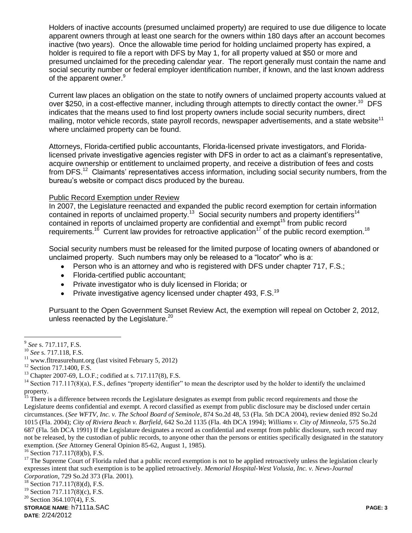Holders of inactive accounts (presumed unclaimed property) are required to use due diligence to locate apparent owners through at least one search for the owners within 180 days after an account becomes inactive (two years). Once the allowable time period for holding unclaimed property has expired, a holder is required to file a report with DFS by May 1, for all property valued at \$50 or more and presumed unclaimed for the preceding calendar year. The report generally must contain the name and social security number or federal employer identification number, if known, and the last known address of the apparent owner.<sup>9</sup>

Current law places an obligation on the state to notify owners of unclaimed property accounts valued at over \$250, in a cost-effective manner, including through attempts to directly contact the owner.<sup>10</sup> DFS indicates that the means used to find lost property owners include social security numbers, direct mailing, motor vehicle records, state payroll records, newspaper advertisements, and a state website<sup>11</sup> where unclaimed property can be found.

Attorneys, Florida-certified public accountants, Florida-licensed private investigators, and Floridalicensed private investigative agencies register with DFS in order to act as a claimant's representative, acquire ownership or entitlement to unclaimed property, and receive a distribution of fees and costs from DFS.<sup>12</sup> Claimants' representatives access information, including social security numbers, from the bureau's website or compact discs produced by the bureau.

#### Public Record Exemption under Review

In 2007, the Legislature reenacted and expanded the public record exemption for certain information contained in reports of unclaimed property.<sup>13</sup> Social security numbers and property identifiers<sup>14</sup> contained in reports of unclaimed property are confidential and exempt<sup>15</sup> from public record requirements.<sup>16</sup> Current law provides for retroactive application<sup>17</sup> of the public record exemption.<sup>18</sup>

Social security numbers must be released for the limited purpose of locating owners of abandoned or unclaimed property. Such numbers may only be released to a "locator" who is a:

- Person who is an attorney and who is registered with DFS under chapter 717, F.S.;
- Florida-certified public accountant;
- Private investigator who is duly licensed in Florida; or
- Private investigative agency licensed under chapter 493, F.S.<sup>19</sup>

Pursuant to the Open Government Sunset Review Act, the exemption will repeal on October 2, 2012, unless reenacted by the Legislature.<sup>20</sup>

<sup>15</sup> There is a difference between records the Legislature designates as exempt from public record requirements and those the Legislature deems confidential and exempt. A record classified as exempt from public disclosure may be disclosed under certain circumstances. (*See WFTV, Inc. v. The School Board of Seminole*, 874 So.2d 48, 53 (Fla. 5th DCA 2004), review denied 892 So.2d 1015 (Fla. 2004); *City of Riviera Beach v. Barfield*, 642 So.2d 1135 (Fla. 4th DCA 1994); *Williams v. City of Minneola*, 575 So.2d 687 (Fla. 5th DCA 1991) If the Legislature designates a record as confidential and exempt from public disclosure, such record may not be released, by the custodian of public records, to anyone other than the persons or entities specifically designated in the statutory exemption. (*See* Attorney General Opinion 85-62, August 1, 1985).

<sup>16</sup> Section 717.117(8)(b), F.S.

<sup>17</sup> The Supreme Court of Florida ruled that a public record exemption is not to be applied retroactively unless the legislation clearly expresses intent that such exemption is to be applied retroactively. *Memorial Hospital-West Volusia, Inc. v. News-Journal Corporation*, 729 So.2d 373 (Fla. 2001).

 $^{18}$  Section 717.117(8)(d), F.S.

 $19$  Section 717.117(8)(c), F.S.

<sup>20</sup> Section 364.107(4), F.S.

**STORAGE NAME**: h7111a.SAC **PAGE: 3 DATE**: 2/24/2012

 $\overline{a}$ 9 *See* s. 717.117, F.S.

<sup>10</sup> *See* s. 717.118, F.S.

 $11$  www.fltreasurehunt.org (last visited February 5, 2012)

<sup>&</sup>lt;sup>12</sup> Section 717.1400, F.S.

<sup>&</sup>lt;sup>13</sup> Chapter 2007-69, L.O.F.; codified at s. 717.117(8), F.S.

<sup>&</sup>lt;sup>14</sup> Section 717.117(8)(a), F.S., defines "property identifier" to mean the descriptor used by the holder to identify the unclaimed property.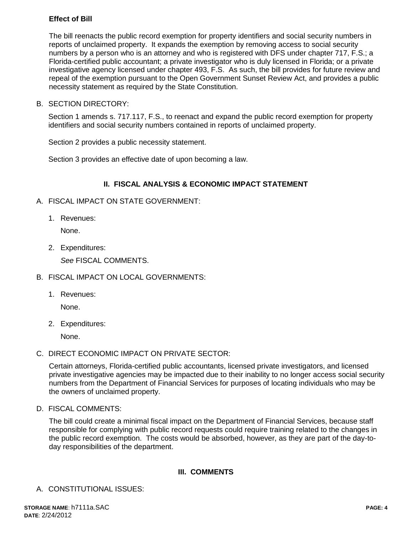# **Effect of Bill**

The bill reenacts the public record exemption for property identifiers and social security numbers in reports of unclaimed property. It expands the exemption by removing access to social security numbers by a person who is an attorney and who is registered with DFS under chapter 717, F.S.; a Florida-certified public accountant; a private investigator who is duly licensed in Florida; or a private investigative agency licensed under chapter 493, F.S. As such, the bill provides for future review and repeal of the exemption pursuant to the Open Government Sunset Review Act, and provides a public necessity statement as required by the State Constitution.

B. SECTION DIRECTORY:

Section 1 amends s. 717.117, F.S., to reenact and expand the public record exemption for property identifiers and social security numbers contained in reports of unclaimed property.

Section 2 provides a public necessity statement.

Section 3 provides an effective date of upon becoming a law.

# **II. FISCAL ANALYSIS & ECONOMIC IMPACT STATEMENT**

- A. FISCAL IMPACT ON STATE GOVERNMENT:
	- 1. Revenues:

None.

2. Expenditures:

*See* FISCAL COMMENTS.

- B. FISCAL IMPACT ON LOCAL GOVERNMENTS:
	- 1. Revenues:

None.

2. Expenditures:

None.

C. DIRECT ECONOMIC IMPACT ON PRIVATE SECTOR:

Certain attorneys, Florida-certified public accountants, licensed private investigators, and licensed private investigative agencies may be impacted due to their inability to no longer access social security numbers from the Department of Financial Services for purposes of locating individuals who may be the owners of unclaimed property.

D. FISCAL COMMENTS:

The bill could create a minimal fiscal impact on the Department of Financial Services, because staff responsible for complying with public record requests could require training related to the changes in the public record exemption. The costs would be absorbed, however, as they are part of the day-today responsibilities of the department.

### **III. COMMENTS**

A. CONSTITUTIONAL ISSUES: